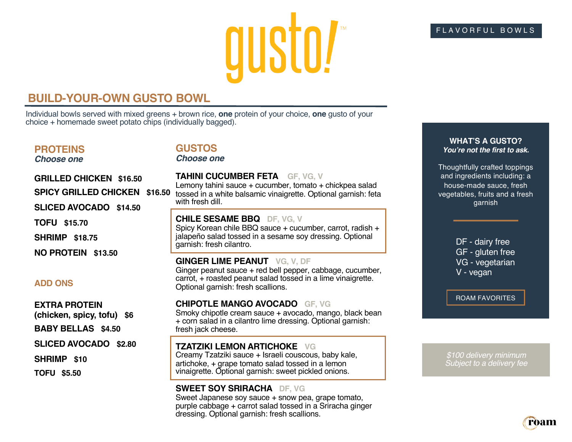# gusto!

### **BUILD-YOUR-OWN GUSTO BOWL**

Individual bowls served with mixed greens + brown rice, **one** protein of your choice, **one** gusto of your choice + homemade sweet potato chips (individually bagged).

#### **PROTEINS**

*Choose one*

#### **GUSTOS**

*Choose one*

# **GRILLED CHICKEN \$16.50 SPICY GRILLED CHICKEN \$16.50 SLICED AVOCADO \$14.50**

**TOFU \$15.70**

**SHRIMP \$18.75**

**NO PROTEIN \$13.50**

#### **ADD ONS**

**EXTRA PROTEIN**

**(chicken, spicy, tofu) \$6**

**BABY BELLAS \$4.50**

#### **SLICED AVOCADO \$2.80**

**SHRIMP \$10**

**TOFU \$5.50**

# **TAHINI CUCUMBER FETA GF, VG, V** Lemony tahini sauce + cucumber, tomato + chickpea salad

tossed in a white balsamic vinaigrette. Optional garnish: feta with fresh dill.

#### **CHILE SESAME BBQ DF, VG, V**

Spicy Korean chile BBQ sauce + cucumber, carrot, radish + jalapeño salad tossed in a sesame soy dressing. Optional garnish: fresh cilantro.

#### **GINGER LIME PEANUT VG, V, DF**

Ginger peanut sauce + red bell pepper, cabbage, cucumber, carrot, + roasted peanut salad tossed in a lime vinaigrette. Optional garnish: fresh scallions.

#### **CHIPOTLE MANGO AVOCADO GF, VG**

Smoky chipotle cream sauce + avocado, mango, black bean + corn salad in a cilantro lime dressing. Optional garnish: fresh jack cheese.

#### **TZATZIKI LEMON ARTICHOKE VG**

Creamy Tzatziki sauce + Israeli couscous, baby kale, artichoke, + grape tomato salad tossed in a lemon vinaigrette. Optional garnish: sweet pickled onions.

#### **SWEET SOY SRIRACHA DF, VG**

Sweet Japanese soy sauce + snow pea, grape tomato, purple cabbage + carrot salad tossed in a Sriracha ginger dressing. Optional garnish: fresh scallions.

#### FLAVORFUL BOWLS

#### **WHAT'S A GUSTO?**  *You're not the first to ask.*

Thoughtfully crafted toppings and ingredients including: a house-made sauce, fresh vegetables, fruits and a fresh garnish

> DF - dairy free GF - gluten free VG - vegetarian V - vegan

ROAM FAVORITES

*\$100 delivery minimum Subject to a delivery fee*